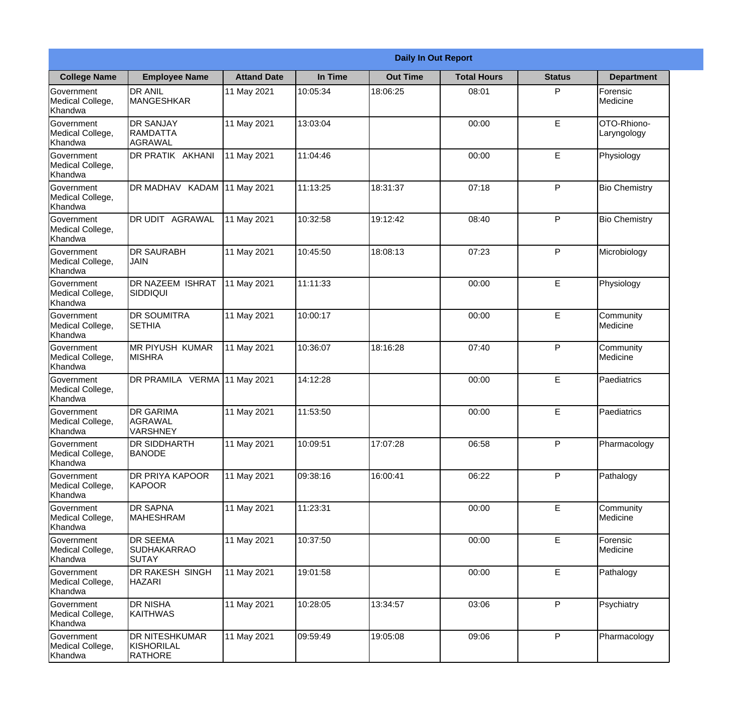|                                                  |                                                       |                    |          | <b>Daily In Out Report</b> |                    |               |                            |
|--------------------------------------------------|-------------------------------------------------------|--------------------|----------|----------------------------|--------------------|---------------|----------------------------|
| <b>College Name</b>                              | <b>Employee Name</b>                                  | <b>Attand Date</b> | In Time  | <b>Out Time</b>            | <b>Total Hours</b> | <b>Status</b> | <b>Department</b>          |
| Government<br>Medical College,<br>Khandwa        | <b>DR ANIL</b><br><b>MANGESHKAR</b>                   | 11 May 2021        | 10:05:34 | 18:06:25                   | 08:01              | P             | Forensic<br>Medicine       |
| Government<br>Medical College,<br>Khandwa        | <b>DR SANJAY</b><br><b>RAMDATTA</b><br><b>AGRAWAL</b> | 11 May 2021        | 13:03:04 |                            | 00:00              | $\mathsf E$   | OTO-Rhiono-<br>Laryngology |
| <b>Government</b><br>Medical College,<br>Khandwa | DR PRATIK AKHANI                                      | 11 May 2021        | 11:04:46 |                            | 00:00              | E             | Physiology                 |
| <b>Government</b><br>Medical College,<br>Khandwa | DR MADHAV KADAM 11 May 2021                           |                    | 11:13:25 | 18:31:37                   | 07:18              | P             | <b>Bio Chemistry</b>       |
| Government<br>Medical College,<br>Khandwa        | DR UDIT AGRAWAL                                       | 11 May 2021        | 10:32:58 | 19:12:42                   | 08:40              | P             | <b>Bio Chemistry</b>       |
| Government<br>Medical College,<br>Khandwa        | <b>DR SAURABH</b><br><b>JAIN</b>                      | 11 May 2021        | 10:45:50 | 18:08:13                   | 07:23              | P             | Microbiology               |
| Government<br>Medical College,<br>Khandwa        | <b>DR NAZEEM ISHRAT</b><br>SIDDIQUI                   | 11 May 2021        | 11:11:33 |                            | 00:00              | E             | Physiology                 |
| <b>Government</b><br>Medical College,<br>Khandwa | <b>DR SOUMITRA</b><br><b>SETHIA</b>                   | 11 May 2021        | 10:00:17 |                            | 00:00              | E             | Community<br>Medicine      |
| Government<br>Medical College,<br>Khandwa        | MR PIYUSH KUMAR<br><b>MISHRA</b>                      | 11 May 2021        | 10:36:07 | 18:16:28                   | 07:40              | P             | Community<br>Medicine      |
| Government<br>Medical College,<br>Khandwa        | DR PRAMILA VERMA 11 May 2021                          |                    | 14:12:28 |                            | 00:00              | E             | Paediatrics                |
| Government<br>Medical College,<br>Khandwa        | <b>DR GARIMA</b><br>AGRAWAL<br>VARSHNEY               | 11 May 2021        | 11:53:50 |                            | 00:00              | E             | Paediatrics                |
| Government<br>Medical College,<br>Khandwa        | <b>DR SIDDHARTH</b><br><b>BANODE</b>                  | 11 May 2021        | 10:09:51 | 17:07:28                   | 06:58              | P             | Pharmacology               |
| Government<br>Medical College,<br>Khandwa        | <b>DR PRIYA KAPOOR</b><br><b>KAPOOR</b>               | 11 May 2021        | 09:38:16 | 16:00:41                   | 06:22              | P             | Pathalogy                  |
| Government<br>Medical College,<br>Khandwa        | <b>DR SAPNA</b><br><b>MAHESHRAM</b>                   | 11 May 2021        | 11:23:31 |                            | 00:00              | $\mathsf E$   | Community<br>Medicine      |
| <b>Government</b><br>Medical College,<br>Khandwa | <b>DR SEEMA</b><br><b>SUDHAKARRAO</b><br><b>SUTAY</b> | 11 May 2021        | 10:37:50 |                            | 00:00              | $\mathsf E$   | Forensic<br>Medicine       |
| Government<br>Medical College,<br>Khandwa        | DR RAKESH SINGH<br><b>HAZARI</b>                      | 11 May 2021        | 19:01:58 |                            | 00:00              | E             | Pathalogy                  |
| Government<br>Medical College,<br>Khandwa        | <b>DR NISHA</b><br><b>KAITHWAS</b>                    | 11 May 2021        | 10:28:05 | 13:34:57                   | 03:06              | P             | Psychiatry                 |
| Government<br>Medical College,<br>Khandwa        | <b>DR NITESHKUMAR</b><br>KISHORILAL<br><b>RATHORE</b> | 11 May 2021        | 09:59:49 | 19:05:08                   | 09:06              | P             | Pharmacology               |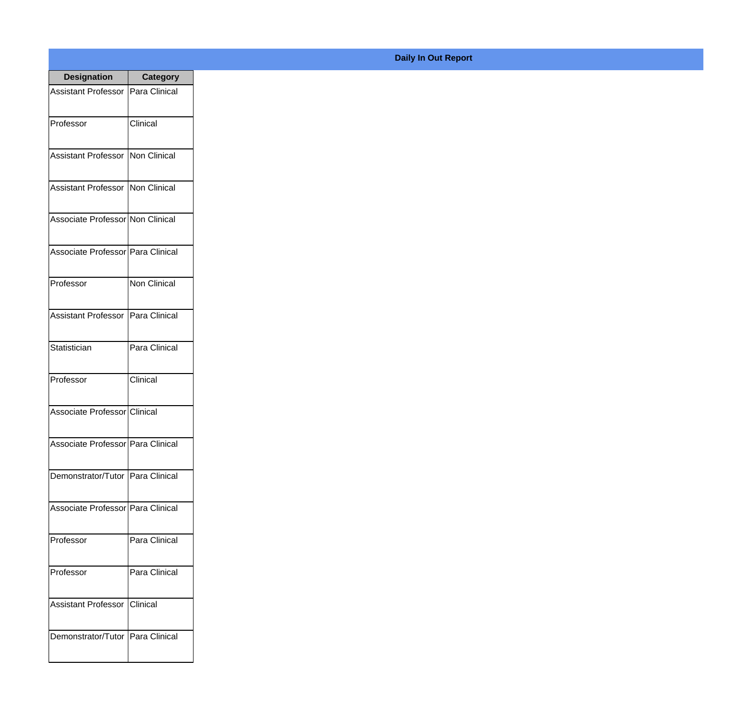| <b>Designation</b>                  | <b>Category</b>     |
|-------------------------------------|---------------------|
| Assistant Professor   Para Clinical |                     |
| Professor                           | Clinical            |
| Assistant Professor   Non Clinical  |                     |
| Assistant Professor   Non Clinical  |                     |
| Associate Professor Non Clinical    |                     |
| Associate Professor Para Clinical   |                     |
| Professor                           | <b>Non Clinical</b> |
| Assistant Professor   Para Clinical |                     |
| Statistician                        | Para Clinical       |
| Professor                           | Clinical            |
| Associate Professor Clinical        |                     |
| Associate Professor   Para Clinical |                     |
| Demonstrator/Tutor   Para Clinical  |                     |
| Associate Professor Para Clinical   |                     |
| Professor                           | Para Clinical       |
| Professor                           | Para Clinical       |
| <b>Assistant Professor</b>          | <b>Clinical</b>     |
| Demonstrator/Tutor   Para Clinical  |                     |

## **Daily In Out Report**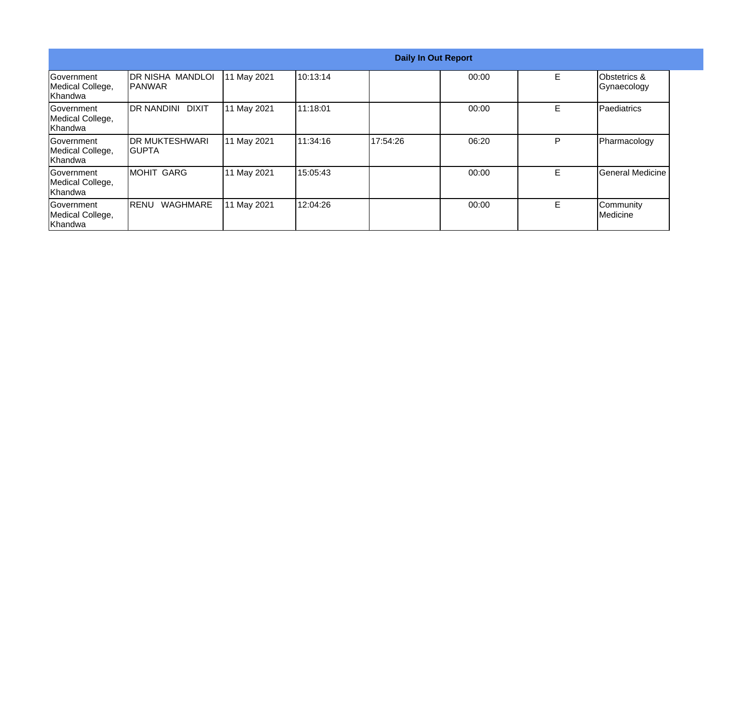|                                                  |                                            |             |          |          | <b>Daily In Out Report</b> |    |                             |
|--------------------------------------------------|--------------------------------------------|-------------|----------|----------|----------------------------|----|-----------------------------|
| Government<br>Medical College,<br>Khandwa        | <b>IDR NISHA MANDLOI</b><br><b>IPANWAR</b> | 11 May 2021 | 10:13:14 |          | 00:00                      | E  | Obstetrics &<br>Gynaecology |
| Government<br>Medical College,<br>Khandwa        | DR NANDINI DIXIT                           | 11 May 2021 | 11:18:01 |          | 00:00                      | E  | Paediatrics                 |
| <b>Sovernment</b><br>Medical College,<br>Khandwa | <b>IDR MUKTESHWARI</b><br>IGUPTA           | 11 May 2021 | 11:34:16 | 17:54:26 | 06:20                      | P  | Pharmacology                |
| <b>Sovernment</b><br>Medical College,<br>Khandwa | <b>MOHIT GARG</b>                          | 11 May 2021 | 15:05:43 |          | 00:00                      | E. | General Medicine            |
| Government<br>Medical College,<br>Khandwa        | <b>WAGHMARE</b><br><b>IRENU</b>            | 11 May 2021 | 12:04:26 |          | 00:00                      | E  | Community<br>Medicine       |